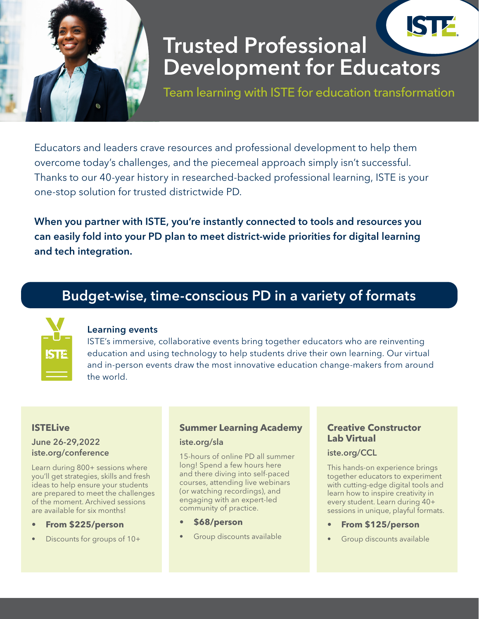

# Trusted Professional Development for Educators

Team learning with ISTE for education transformation

Educators and leaders crave resources and professional development to help them overcome today's challenges, and the piecemeal approach simply isn't successful. Thanks to our 40-year history in researched-backed professional learning, ISTE is your one-stop solution for trusted districtwide PD.

When you partner with ISTE, you're instantly connected to tools and resources you can easily fold into your PD plan to meet district-wide priorities for digital learning and tech integration.

# Budget-wise, time-conscious PD in a variety of formats



#### Learning events

ISTE's immersive, collaborative events bring together educators who are reinventing education and using technology to help students drive their own learning. Our virtual and in-person events draw the most innovative education change-makers from around the world.

#### **ISTELive**

#### June 26-29,2022 iste.org/conference

Learn during 800+ sessions where you'll get strategies, skills and fresh ideas to help ensure your students are prepared to meet the challenges of the moment. Archived sessions are available for six months!

- **• From \$225/person**
- Discounts for groups of 10+

## **Summer Learning Academy**

#### iste.org/sla

15-hours of online PD all summer long! Spend a few hours here and there diving into self-paced courses, attending live webinars (or watching recordings), and engaging with an expert-led community of practice.

- **• \$68/person**
- Group discounts available

#### **Creative Constructor Lab Virtual**

#### iste.org/CCL

This hands-on experience brings together educators to experiment with cutting-edge digital tools and learn how to inspire creativity in every student. Learn during 40+ sessions in unique, playful formats.

- **• From \$125/person**
- Group discounts available